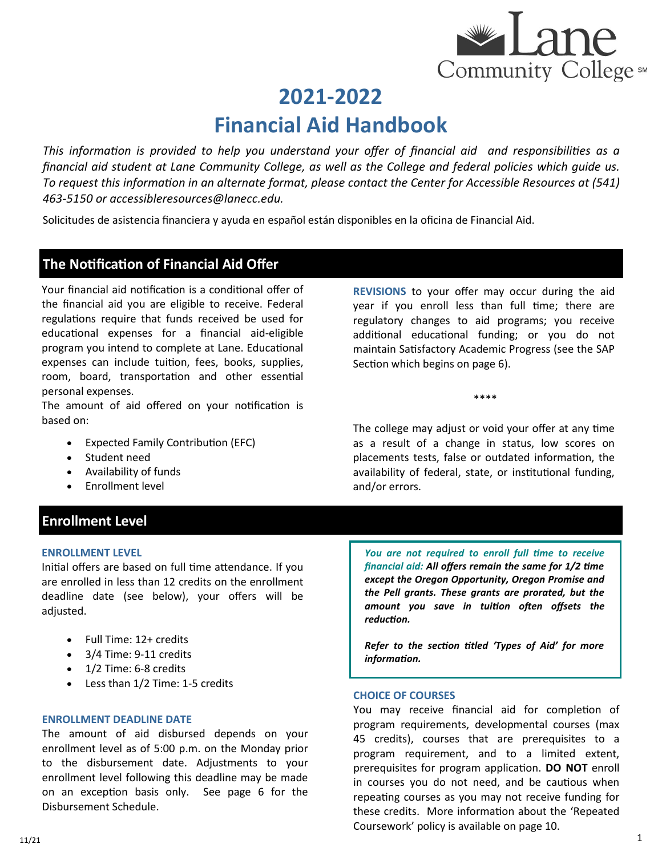*This information is provided to help you understand your offer of financial aid and responsibilities as a financial aid student at Lane Community College, as well as the College and federal policies which guide us. To request this information in an alternate format, please contact the Center for Accessible Resources at (541) 463-5150 or accessibleresources@lanecc.edu.* 

Solicitudes de asistencia financiera y ayuda en español están disponibles en la oficina de Financial Aid.

### **The Notification of Financial Aid Offer**

Your financial aid notification is a conditional offer of the financial aid you are eligible to receive. Federal regulations require that funds received be used for educational expenses for a financial aid-eligible program you intend to complete at Lane. Educational expenses can include tuition, fees, books, supplies, room, board, transportation and other essential personal expenses.

The amount of aid offered on your notification is based on:

- Expected Family Contribution (EFC)
- Student need
- Availability of funds
- Enrollment level

### **Enrollment Level**

#### **ENROLLMENT LEVEL**

Initial offers are based on full time attendance. If you are enrolled in less than 12 credits on the enrollment deadline date (see below), your offers will be adjusted.

- Full Time: 12+ credits
- 3/4 Time: 9-11 credits
- $\bullet$  1/2 Time: 6-8 credits
- Less than 1/2 Time: 1-5 credits

#### **ENROLLMENT DEADLINE DATE**

The amount of aid disbursed depends on your enrollment level as of 5:00 p.m. on the Monday prior to the disbursement date. Adjustments to your enrollment level following this deadline may be made on an exception basis only. See page 6 for the Disbursement Schedule.

**REVISIONS** to your offer may occur during the aid year if you enroll less than full time; there are regulatory changes to aid programs; you receive additional educational funding; or you do not maintain Satisfactory Academic Progress (see the SAP Section which begins on page 6).

\*\*\*\*

The college may adjust or void your offer at any time as a result of a change in status, low scores on placements tests, false or outdated information, the availability of federal, state, or institutional funding, and/or errors.

*You are not required to enroll full time to receive financial aid: All offers remain the same for 1/2 time except the Oregon Opportunity, Oregon Promise and the Pell grants. These grants are prorated, but the amount you save in tuition often offsets the reduction.* 

*Refer to the section titled 'Types of Aid' for more information.* 

#### **CHOICE OF COURSES**

You may receive financial aid for completion of program requirements, developmental courses (max 45 credits), courses that are prerequisites to a program requirement, and to a limited extent, prerequisites for program application. **DO NOT** enroll in courses you do not need, and be cautious when repeating courses as you may not receive funding for these credits. More information about the 'Repeated Coursework' policy is available on page 10.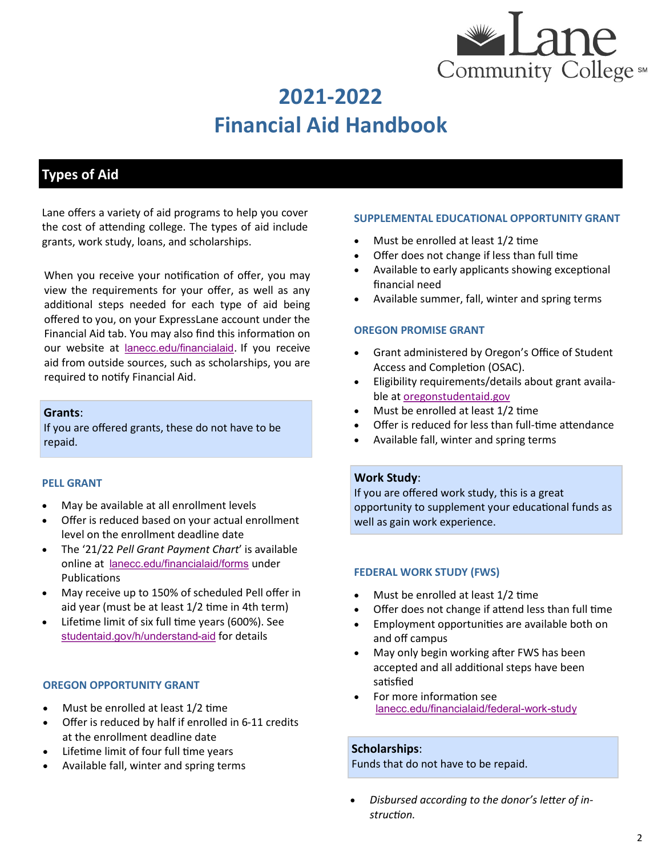

## **Types of Aid**

Lane offers a variety of aid programs to help you cover the cost of attending college. The types of aid include grants, work study, loans, and scholarships.

When you receive your notification of offer, you may view the requirements for your offer, as well as any additional steps needed for each type of aid being offered to you, on your ExpressLane account under the Financial Aid tab. You may also find this information on our website at [lanecc.edu/financialaid](https://www.lanecc.edu/financialaid). If you receive aid from outside sources, such as scholarships, you are required to notify Financial Aid.

#### **Grants**:

If you are offered grants, these do not have to be repaid.

#### **PELL GRANT**

- May be available at all enrollment levels
- Offer is reduced based on your actual enrollment level on the enrollment deadline date
- The '21/22 *Pell Grant Payment Chart*' is available online at [lanecc.edu/financialaid/forms](https://www.lanecc.edu/financialaid/forms) under Publications
- May receive up to 150% of scheduled Pell offer in aid year (must be at least 1/2 time in 4th term)
- Lifetime limit of six full time years (600%). See [studentaid.gov/h/understand](https://studentaid.gov/understand-aid/types/grants/pell)-aid for details

#### **OREGON OPPORTUNITY GRANT**

- Must be enrolled at least 1/2 time
- Offer is reduced by half if enrolled in 6-11 credits at the enrollment deadline date
- Lifetime limit of four full time years
- Available fall, winter and spring terms

#### **SUPPLEMENTAL EDUCATIONAL OPPORTUNITY GRANT**

- Must be enrolled at least 1/2 time
- Offer does not change if less than full time
- Available to early applicants showing exceptional financial need
- Available summer, fall, winter and spring terms

#### **OREGON PROMISE GRANT**

- Grant administered by Oregon's Office of Student Access and Completion (OSAC).
- Eligibility requirements/details about grant available at [oregonstudentaid.gov](https://oregonstudentaid.gov/)
- Must be enrolled at least 1/2 time
- Offer is reduced for less than full-time attendance
- Available fall, winter and spring terms

#### **Work Study**:

If you are offered work study, this is a great opportunity to supplement your educational funds as well as gain work experience.

#### **FEDERAL WORK STUDY (FWS)**

- Must be enrolled at least 1/2 time
- Offer does not change if attend less than full time
- Employment opportunities are available both on and off campus
- May only begin working after FWS has been accepted and all additional steps have been satisfied
- For more information see [lanecc.edu/financialaid/federal](https://www.lanecc.edu/financialaid/federal-work-study)-work-study

#### **Scholarships**:

Funds that do not have to be repaid.

• *Disbursed according to the donor's letter of instruction.*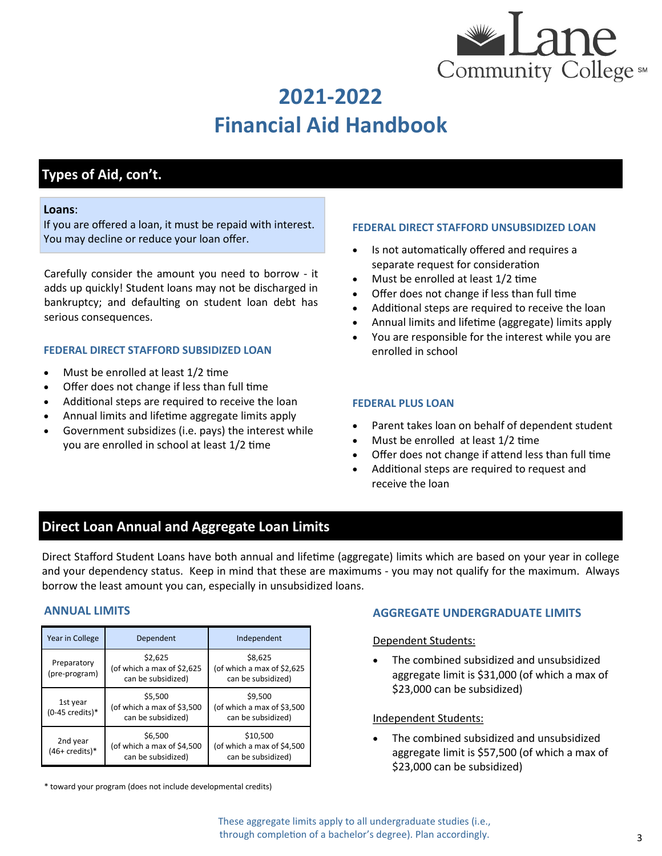

## **Types of Aid, con't.**

#### **Loans**:

If you are offered a loan, it must be repaid with interest. You may decline or reduce your loan offer.

Carefully consider the amount you need to borrow - it adds up quickly! Student loans may not be discharged in bankruptcy; and defaulting on student loan debt has serious consequences.

#### **FEDERAL DIRECT STAFFORD SUBSIDIZED LOAN**

- Must be enrolled at least 1/2 time
- Offer does not change if less than full time
- Additional steps are required to receive the loan
- Annual limits and lifetime aggregate limits apply
- Government subsidizes (i.e. pays) the interest while you are enrolled in school at least 1/2 time

#### **FEDERAL DIRECT STAFFORD UNSUBSIDIZED LOAN**

- Is not automatically offered and requires a separate request for consideration
- Must be enrolled at least 1/2 time
- Offer does not change if less than full time
- Additional steps are required to receive the loan
- Annual limits and lifetime (aggregate) limits apply
- You are responsible for the interest while you are enrolled in school

#### **FEDERAL PLUS LOAN**

- Parent takes loan on behalf of dependent student
- Must be enrolled at least 1/2 time
- Offer does not change if attend less than full time
- Additional steps are required to request and receive the loan

### **Direct Loan Annual and Aggregate Loan Limits**

Direct Stafford Student Loans have both annual and lifetime (aggregate) limits which are based on your year in college and your dependency status. Keep in mind that these are maximums - you may not qualify for the maximum. Always borrow the least amount you can, especially in unsubsidized loans.

| Year in College                       | Dependent                                                   | Independent                                                  |  |
|---------------------------------------|-------------------------------------------------------------|--------------------------------------------------------------|--|
| Preparatory<br>(pre-program)          | \$2,625<br>(of which a max of \$2,625<br>can be subsidized) | \$8,625<br>(of which a max of \$2,625)<br>can be subsidized) |  |
| 1st year<br>$(0-45 \text{ credits})*$ | \$5,500<br>(of which a max of \$3,500<br>can be subsidized) | \$9,500<br>(of which a max of \$3,500<br>can be subsidized)  |  |
| 2nd year<br>$(46+{\rm credits})^*$    | \$6,500<br>(of which a max of \$4,500<br>can be subsidized) | \$10,500<br>(of which a max of \$4,500<br>can be subsidized) |  |

\* toward your program (does not include developmental credits)

#### **ANNUAL LIMITS AGGREGATE UNDERGRADUATE LIMITS**

Dependent Students:

• The combined subsidized and unsubsidized aggregate limit is \$31,000 (of which a max of \$23,000 can be subsidized)

#### Independent Students:

• The combined subsidized and unsubsidized aggregate limit is \$57,500 (of which a max of \$23,000 can be subsidized)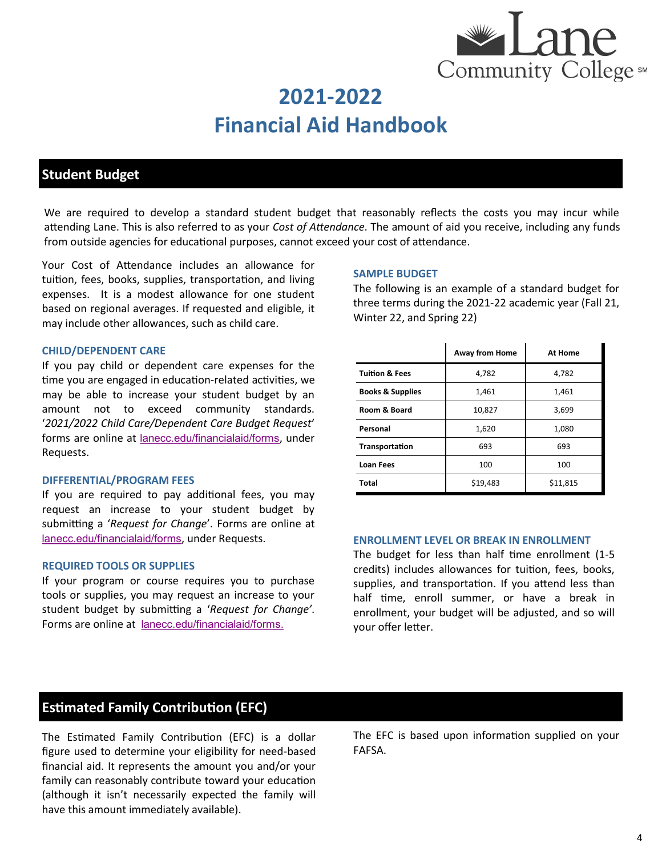

**2021-2022**

**Financial Aid Handbook**

## **Student Budget**

We are required to develop a standard student budget that reasonably reflects the costs you may incur while attending Lane. This is also referred to as your *Cost of Attendance*. The amount of aid you receive, including any funds from outside agencies for educational purposes, cannot exceed your cost of attendance.

Your Cost of Attendance includes an allowance for tuition, fees, books, supplies, transportation, and living expenses. It is a modest allowance for one student based on regional averages. If requested and eligible, it may include other allowances, such as child care.

#### **CHILD/DEPENDENT CARE**

If you pay child or dependent care expenses for the time you are engaged in education-related activities, we may be able to increase your student budget by an amount not to exceed community standards. '*2021/2022 Child Care/Dependent Care Budget Request*' forms are online at [lanecc.edu/financialaid/forms](https://www.lanecc.edu/financialaid/forms), under Requests.

#### **DIFFERENTIAL/PROGRAM FEES**

If you are required to pay additional fees, you may request an increase to your student budget by submitting a '*Request for Change*'. Forms are online at [lanecc.edu/financialaid/forms](https://www.lanecc.edu/financialaid/forms), under Requests.

#### **REQUIRED TOOLS OR SUPPLIES**

If your program or course requires you to purchase tools or supplies, you may request an increase to your student budget by submitting a '*Request for Change'*. Forms are online at lanecc.edu/[financialaid/f](https://www.lanecc.edu/financialaid/forms)orms.

#### **SAMPLE BUDGET**

The following is an example of a standard budget for three terms during the 2021-22 academic year (Fall 21, Winter 22, and Spring 22)

|                             | <b>Away from Home</b> | <b>At Home</b> |  |
|-----------------------------|-----------------------|----------------|--|
| <b>Tuition &amp; Fees</b>   | 4,782                 | 4,782          |  |
| <b>Books &amp; Supplies</b> | 1,461                 | 1,461          |  |
| Room & Board                | 10,827                | 3,699          |  |
| Personal                    | 1,620                 | 1,080          |  |
| Transportation              | 693                   | 693            |  |
| <b>Loan Fees</b>            | 100                   | 100            |  |
| <b>Total</b>                | \$19,483              | \$11,815       |  |

#### **ENROLLMENT LEVEL OR BREAK IN ENROLLMENT**

The budget for less than half time enrollment (1-5 credits) includes allowances for tuition, fees, books, supplies, and transportation. If you attend less than half time, enroll summer, or have a break in enrollment, your budget will be adjusted, and so will your offer letter.

### **Estimated Family Contribution (EFC)**

The Estimated Family Contribution (EFC) is a dollar figure used to determine your eligibility for need-based financial aid. It represents the amount you and/or your family can reasonably contribute toward your education (although it isn't necessarily expected the family will have this amount immediately available).

The EFC is based upon information supplied on your FAFSA.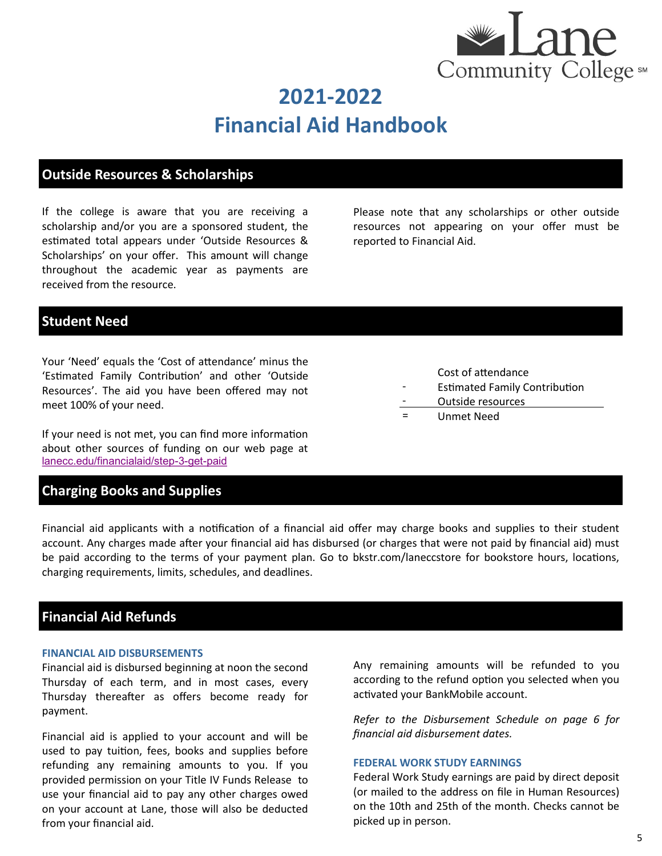

## **Outside Resources & Scholarships**

If the college is aware that you are receiving a scholarship and/or you are a sponsored student, the estimated total appears under 'Outside Resources & Scholarships' on your offer. This amount will change throughout the academic year as payments are received from the resource.

Please note that any scholarships or other outside resources not appearing on your offer must be reported to Financial Aid.

## **Student Need**

Your 'Need' equals the 'Cost of attendance' minus the 'Estimated Family Contribution' and other 'Outside Resources'. The aid you have been offered may not meet 100% of your need.

If your need is not met, you can find more information about other sources of funding on our web page at [lanecc.edu/financialaid/step](https://www.lanecc.edu/financialaid/step-3-get-paid)-3-get-paid

### **Charging Books and Supplies**

- Estimated Family Contribution
- Outside resources
- = Unmet Need

-

Financial aid applicants with a notification of a financial aid offer may charge books and supplies to their student account. Any charges made after your financial aid has disbursed (or charges that were not paid by financial aid) must be paid according to the terms of your payment plan. Go to bkstr.com/laneccstore for bookstore hours, locations, charging requirements, limits, schedules, and deadlines.

### **Financial Aid Refunds**

#### **FINANCIAL AID DISBURSEMENTS**

Financial aid is disbursed beginning at noon the second Thursday of each term, and in most cases, every Thursday thereafter as offers become ready for payment.

Financial aid is applied to your account and will be used to pay tuition, fees, books and supplies before refunding any remaining amounts to you. If you provided permission on your Title IV Funds Release to use your financial aid to pay any other charges owed on your account at Lane, those will also be deducted from your financial aid.

Any remaining amounts will be refunded to you according to the refund option you selected when you activated your BankMobile account.

*Refer to the Disbursement Schedule on page 6 for financial aid disbursement dates.* 

#### **FEDERAL WORK STUDY EARNINGS**

Federal Work Study earnings are paid by direct deposit (or mailed to the address on file in Human Resources) on the 10th and 25th of the month. Checks cannot be picked up in person.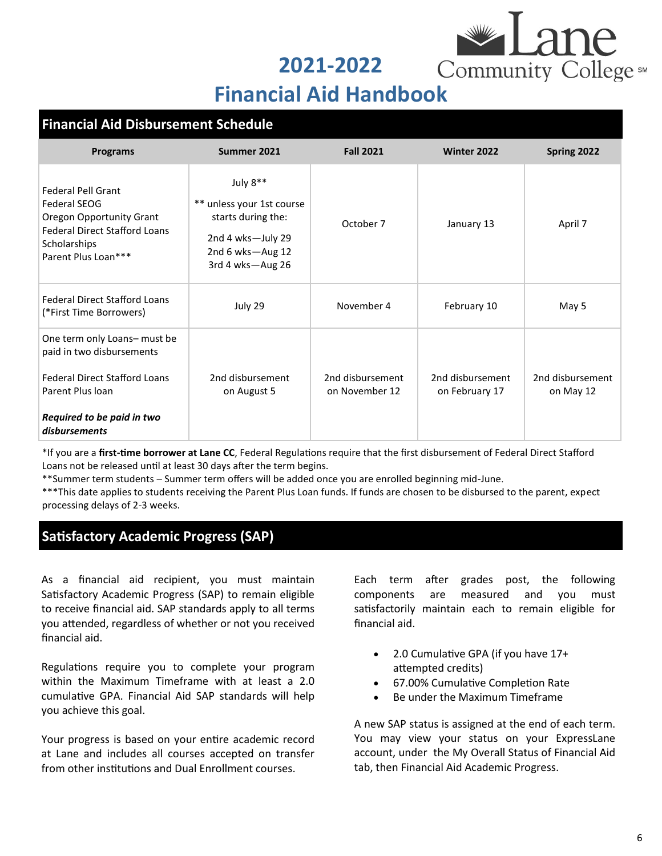**2021-2022**



## **Financial Aid Handbook**

### **Financial Aid Disbursement Schedule**

| <b>Programs</b>                                                                                                                                                      | Summer 2021                                                                                                              | <b>Fall 2021</b>                   | Winter 2022                        | Spring 2022                   |
|----------------------------------------------------------------------------------------------------------------------------------------------------------------------|--------------------------------------------------------------------------------------------------------------------------|------------------------------------|------------------------------------|-------------------------------|
| <b>Federal Pell Grant</b><br><b>Federal SEOG</b><br><b>Oregon Opportunity Grant</b><br><b>Federal Direct Stafford Loans</b><br>Scholarships<br>Parent Plus Loan***   | July 8**<br>** unless your 1st course<br>starts during the:<br>2nd 4 wks-July 29<br>2nd 6 wks-Aug 12<br>3rd 4 wks-Aug 26 | October 7                          | January 13                         | April 7                       |
| <b>Federal Direct Stafford Loans</b><br>(*First Time Borrowers)                                                                                                      | July 29                                                                                                                  | November 4                         | February 10                        | May 5                         |
| One term only Loans- must be<br>paid in two disbursements<br><b>Federal Direct Stafford Loans</b><br>Parent Plus Ioan<br>Required to be paid in two<br>disbursements | 2nd disbursement<br>on August 5                                                                                          | 2nd disbursement<br>on November 12 | 2nd disbursement<br>on February 17 | 2nd disbursement<br>on May 12 |

\*If you are a **first-time borrower at Lane CC**, Federal Regulations require that the first disbursement of Federal Direct Stafford Loans not be released until at least 30 days after the term begins.

\*\*Summer term students – Summer term offers will be added once you are enrolled beginning mid-June.

\*\*\*This date applies to students receiving the Parent Plus Loan funds. If funds are chosen to be disbursed to the parent, expect processing delays of 2-3 weeks.

## **Satisfactory Academic Progress (SAP)**

As a financial aid recipient, you must maintain Satisfactory Academic Progress (SAP) to remain eligible to receive financial aid. SAP standards apply to all terms you attended, regardless of whether or not you received financial aid.

Regulations require you to complete your program within the Maximum Timeframe with at least a 2.0 cumulative GPA. Financial Aid SAP standards will help you achieve this goal.

Your progress is based on your entire academic record at Lane and includes all courses accepted on transfer from other institutions and Dual Enrollment courses.

Each term after grades post, the following components are measured and you must satisfactorily maintain each to remain eligible for financial aid.

- 2.0 Cumulative GPA (if you have 17+ attempted credits)
- 67.00% Cumulative Completion Rate
- Be under the Maximum Timeframe

A new SAP status is assigned at the end of each term. You may view your status on your ExpressLane account, under the My Overall Status of Financial Aid tab, then Financial Aid Academic Progress.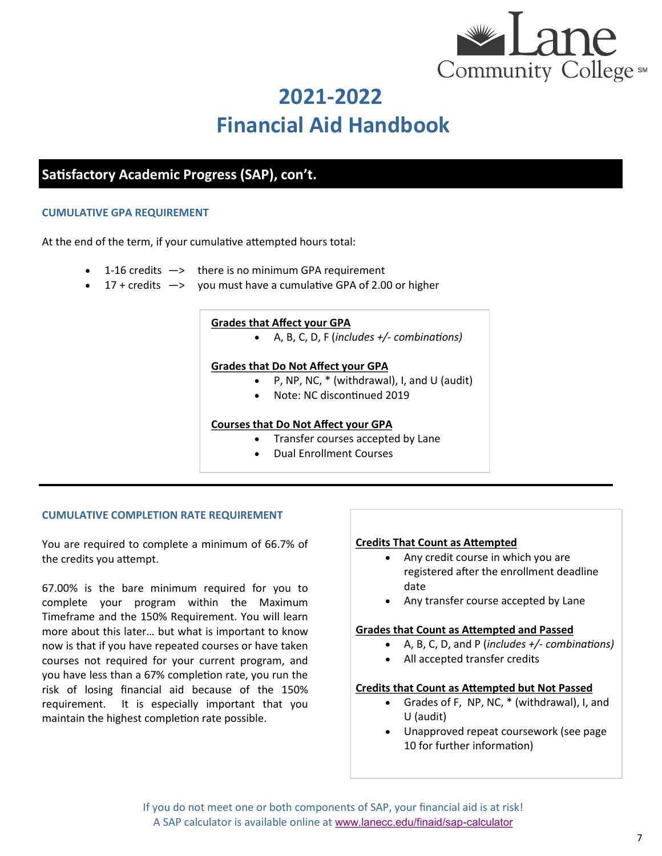

## **Satisfactory Academic Progress (SAP), con't.**

#### **CUMULATIVE GPA REQUIREMENT**

At the end of the term, if your cumulative attempted hours total:

- 1-16 credits  $\rightarrow$  there is no minimum GPA requirement
- $17 +$  credits  $\rightarrow$  you must have a cumulative GPA of 2.00 or higher

#### **Grades that Affect your GPA**

• A, B, C, D, F (*includes +/- combinations)*

#### **Grades that Do Not Affect your GPA**

- P, NP, NC, \* (withdrawal), I, and U (audit)
- Note: NC discontinued 2019

#### **Courses that Do Not Affect your GPA**

- Transfer courses accepted by Lane
- Dual Enrollment Courses

#### **CUMULATIVE COMPLETION RATE REQUIREMENT**

You are required to complete a minimum of 66.7% of the credits you attempt.

67.00% is the bare minimum required for you to complete your program within the Maximum Timeframe and the 150% Requirement. You will learn more about this later… but what is important to know now is that if you have repeated courses or have taken courses not required for your current program, and you have less than a 67% completion rate, you run the risk of losing financial aid because of the 150% requirement. It is especially important that you maintain the highest completion rate possible.

#### **Credits That Count as Attempted**

- Any credit course in which you are registered after the enrollment deadline date
- Any transfer course accepted by Lane

#### **Grades that Count as Attempted and Passed**

- A, B, C, D, and P (*includes +/- combinations)*
- All accepted transfer credits

#### **Credits that Count as Attempted but Not Passed**

- Grades of F, NP, NC, \* (withdrawal), I, and U (audit)
- Unapproved repeat coursework (see page 10 for further information)

If you do not meet one or both components of SAP, your financial aid is at risk! A SAP calculator is available online at [www.lanecc.edu/finaid/sap](http://www.lanecc.edu/finaid/sap-calculator)-calculator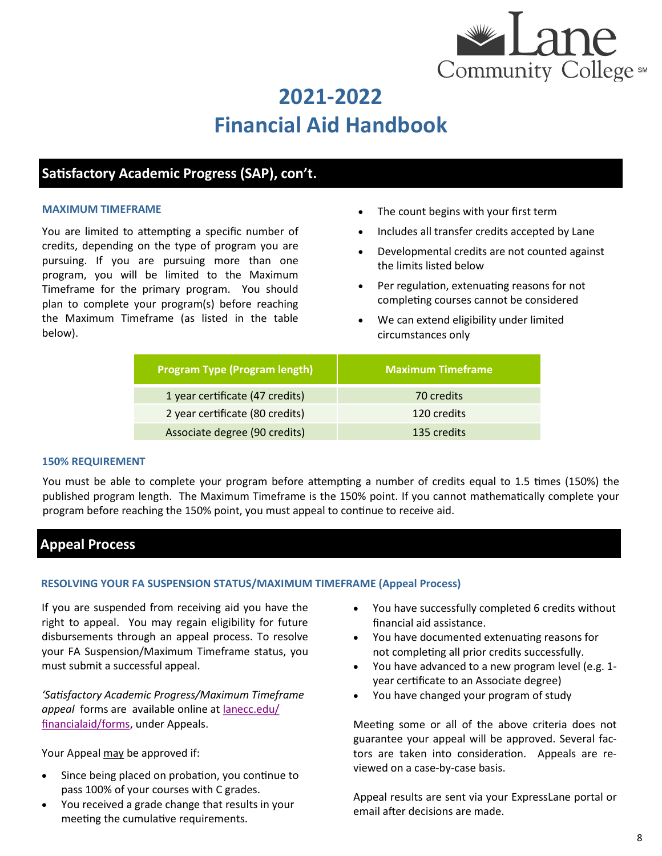

## **Satisfactory Academic Progress (SAP), con't.**

#### **MAXIMUM TIMEFRAME**

You are limited to attempting a specific number of credits, depending on the type of program you are pursuing. If you are pursuing more than one program, you will be limited to the Maximum Timeframe for the primary program. You should plan to complete your program(s) before reaching the Maximum Timeframe (as listed in the table below).

- The count begins with your first term
- Includes all transfer credits accepted by Lane
- Developmental credits are not counted against the limits listed below
- Per regulation, extenuating reasons for not completing courses cannot be considered
- We can extend eligibility under limited circumstances only

| <b>Program Type (Program length)</b> | <b>Maximum Timeframe</b> |
|--------------------------------------|--------------------------|
| 1 year certificate (47 credits)      | 70 credits               |
| 2 year certificate (80 credits)      | 120 credits              |
| Associate degree (90 credits)        | 135 credits              |

#### **150% REQUIREMENT**

You must be able to complete your program before attempting a number of credits equal to 1.5 times (150%) the published program length. The Maximum Timeframe is the 150% point. If you cannot mathematically complete your program before reaching the 150% point, you must appeal to continue to receive aid.

### **Appeal Process**

#### **RESOLVING YOUR FA SUSPENSION STATUS/MAXIMUM TIMEFRAME (Appeal Process)**

If you are suspended from receiving aid you have the right to appeal. You may regain eligibility for future disbursements through an appeal process. To resolve your FA Suspension/Maximum Timeframe status, you must submit a successful appeal.

*'Satisfactory Academic Progress/Maximum Timeframe appeal* forms are available online at [lanecc.edu/](https://www.lanecc.edu/financialaid/forms) [financialaid/forms,](https://www.lanecc.edu/financialaid/forms) under Appeals.

Your Appeal may be approved if:

- Since being placed on probation, you continue to pass 100% of your courses with C grades.
- You received a grade change that results in your meeting the cumulative requirements.
- You have successfully completed 6 credits without financial aid assistance.
- You have documented extenuating reasons for not completing all prior credits successfully.
- You have advanced to a new program level (e.g. 1 year certificate to an Associate degree)
- You have changed your program of study

Meeting some or all of the above criteria does not guarantee your appeal will be approved. Several factors are taken into consideration. Appeals are reviewed on a case-by-case basis.

Appeal results are sent via your ExpressLane portal or email after decisions are made.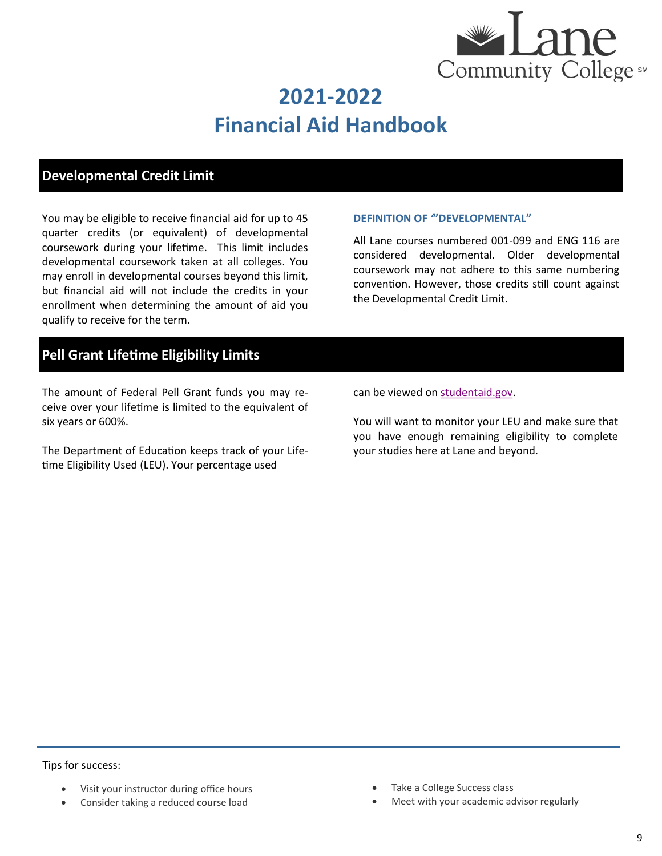

## **Developmental Credit Limit**

You may be eligible to receive financial aid for up to 45 quarter credits (or equivalent) of developmental coursework during your lifetime. This limit includes developmental coursework taken at all colleges. You may enroll in developmental courses beyond this limit, but financial aid will not include the credits in your enrollment when determining the amount of aid you qualify to receive for the term.

#### **DEFINITION OF** *'***"DEVELOPMENTAL"**

All Lane courses numbered 001-099 and ENG 116 are considered developmental. Older developmental coursework may not adhere to this same numbering convention. However, those credits still count against the Developmental Credit Limit.

## **Pell Grant Lifetime Eligibility Limits**

The amount of Federal Pell Grant funds you may receive over your lifetime is limited to the equivalent of six years or 600%.

The Department of Education keeps track of your Lifetime Eligibility Used (LEU). Your percentage used

can be viewed on [studentaid.gov.](https://studentaid.gov/)

You will want to monitor your LEU and make sure that you have enough remaining eligibility to complete your studies here at Lane and beyond.

Tips for success:

- Visit your instructor during office hours
- Consider taking a reduced course load
- Take a College Success class
- Meet with your academic advisor regularly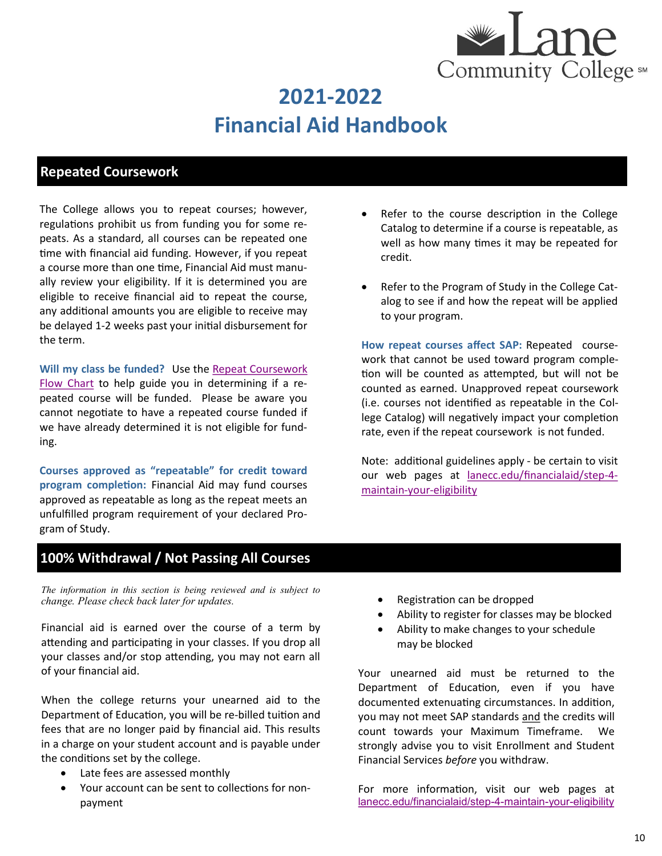

## **Repeated Coursework**

The College allows you to repeat courses; however, regulations prohibit us from funding you for some repeats. As a standard, all courses can be repeated one time with financial aid funding. However, if you repeat a course more than one time, Financial Aid must manually review your eligibility. If it is determined you are eligible to receive financial aid to repeat the course, any additional amounts you are eligible to receive may be delayed 1-2 weeks past your initial disbursement for the term.

**Will my class be funded?** Use the [Repeat Coursework](http://www.lanecc.edu/sites/default/files/finaid/forms/repeat.pdf)  [Flow Chart](http://www.lanecc.edu/sites/default/files/finaid/forms/repeat.pdf) to help guide you in determining if a repeated course will be funded. Please be aware you cannot negotiate to have a repeated course funded if we have already determined it is not eligible for funding.

**Courses approved as "repeatable" for credit toward program completion:** Financial Aid may fund courses approved as repeatable as long as the repeat meets an unfulfilled program requirement of your declared Program of Study.

- Refer to the course description in the College Catalog to determine if a course is repeatable, as well as how many times it may be repeated for credit.
- Refer to the Program of Study in the College Catalog to see if and how the repeat will be applied to your program.

**How repeat courses affect SAP:** Repeated coursework that cannot be used toward program completion will be counted as attempted, but will not be counted as earned. Unapproved repeat coursework (i.e. courses not identified as repeatable in the College Catalog) will negatively impact your completion rate, even if the repeat coursework is not funded.

Note: additional guidelines apply - be certain to visit our web pages at [lanecc.edu/financialaid/step](https://www.lanecc.edu/financialaid/step-4-maintain-your-eligibility)-4 maintain-your-[eligibility](https://www.lanecc.edu/financialaid/step-4-maintain-your-eligibility)

### **100% Withdrawal / Not Passing All Courses**

*The information in this section is being reviewed and is subject to change. Please check back later for updates.* 

Financial aid is earned over the course of a term by attending and participating in your classes. If you drop all your classes and/or stop attending, you may not earn all of your financial aid.

When the college returns your unearned aid to the Department of Education, you will be re-billed tuition and fees that are no longer paid by financial aid. This results in a charge on your student account and is payable under the conditions set by the college.

- Late fees are assessed monthly
- Your account can be sent to collections for nonpayment
- Registration can be dropped
- Ability to register for classes may be blocked
- Ability to make changes to your schedule may be blocked

Your unearned aid must be returned to the Department of Education, even if you have documented extenuating circumstances. In addition, you may not meet SAP standards and the credits will count towards your Maximum Timeframe. We strongly advise you to visit Enrollment and Student Financial Services *before* you withdraw.

For more information, visit our web pages at [lanecc.edu/financialaid/step](https://www.lanecc.edu/financialaid/step-4-maintain-your-eligibility)-4-maintain-your-eligibility